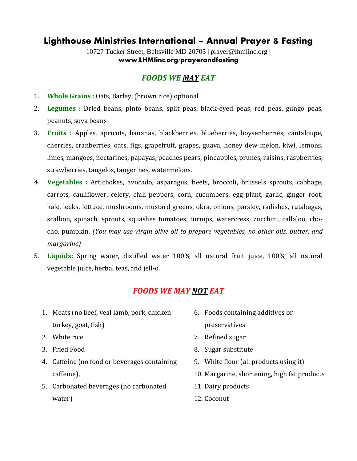10727 Tucker Street, Beltsville MD 20705 | prayer@lhmiinc.org | **www.LHMIinc.org/prayerandfasting**

### *FOODS WE MAY EAT*

- 1. **Whole Grains :** Oats, Barley, (brown rice) optional
- 2. **Legumes :** Dried beans, pinto beans, split peas, black-eyed peas, red peas, gungo peas, peanuts, soya beans
- 3. **Fruits :** Apples, apricots, bananas, blackberries, blueberries, boysenberries, cantaloupe, cherries, cranberries, oats, figs, grapefruit, grapes, guava, honey dew melon, kiwi, lemons, limes, mangoes, nectarines, papayas, peaches pears, pineapples, prunes, raisins, raspberries, strawberries, tangelos, tangerines, watermelons.
- *4.* **Vegetables :** Artichokes, avocado, asparagus, beets, broccoli, brussels sprouts, cabbage, carrots, cauliflower, celery, chili peppers, corn, cucumbers, egg plant, garlic, ginger root, kale, leeks, lettuce, mushrooms, mustard greens, okra, onions, parsley, radishes, rutabagas, scallion, spinach, sprouts, squashes tomatoes, turnips, watercress, zucchini, callaloo, chocho, pumpkin. *(You may use virgin olive oil to prepare vegetables, no other oils, butter, and margarine)*
- 5. **Liquids:** Spring water, distilled water 100% all natural fruit juice, 100% all natural vegetable juice, herbal teas, and jell-o.

## *FOODS WE MAY NOT EAT*

- 1. Meats (no beef, veal lamb, pork, chicken turkey, goat, fish)
- 2. White rice
- 3. Fried Food
- 4. Caffeine (no food or beverages containing caffeine),
- 5. Carbonated beverages (no carbonated water)
- 6. Foods containing additives or preservatives
- 7. Refined sugar
- 8. Sugar substitute
- 9. White flour (all products using it)
- 10. Margarine, shortening, high fat products
- 11. Dairy products
- 12. Coconut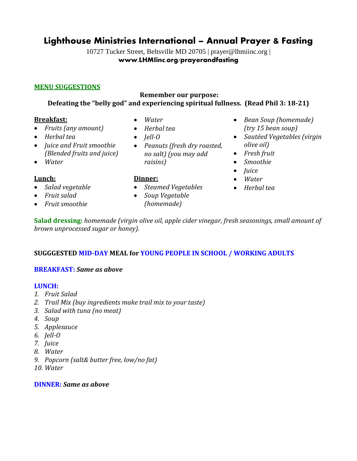10727 Tucker Street, Beltsville MD 20705 | prayer@lhmiinc.org | **www.LHMIinc.org/prayerandfasting**

### **MENU SUGGESTIONS**

#### **Remember our purpose: Defeating the "belly god" and experiencing spiritual fullness. (Read Phil 3: 18-21)**

### **Breakfast:**

- *Fruits (any amount)*
- *Herbal tea*
- *Juice and Fruit smoothie (Blended fruits and juice)*
- *Water*

### **Lunch:**

- *Salad vegetable*
- *Fruit salad*
- *Fruit smoothie*
- *Water*
- *Herbal tea*
- *Jell-O*
- *Peanuts (fresh dry roasted, no salt) (you may add raisins)*
- **Dinner:**
- *Steamed Vegetables*
- *Soup Vegetable (homemade)*
- *Bean Soup (homemade) (try 15 bean soup)*
- *Sautéed Vegetables (virgin olive oil)*
- *Fresh fruit*
- *Smoothie*
- *Juice*
- *Water*
- *Herbal tea*

**Salad dressing:** *homemade (virgin olive oil, apple cider vinegar, fresh seasonings, small amount of brown unprocessed sugar or honey).*

### **SUGGGESTED MID-DAY MEAL for YOUNG PEOPLE IN SCHOOL / WORKING ADULTS**

### **BREAKFAST:** *Same as above*

#### **LUNCH:**

- *1. Fruit Salad*
- *2. Trail Mix (buy ingredients make trail mix to your taste)*
- *3. Salad with tuna (no meat)*
- *4. Soup*
- *5. Applesauce*
- *6. Jell-O*
- *7. Juice*
- *8. Water*
- *9. Popcorn (salt& butter free, low/no fat)*
- *10. Water*

#### **DINNER:** *Same as above*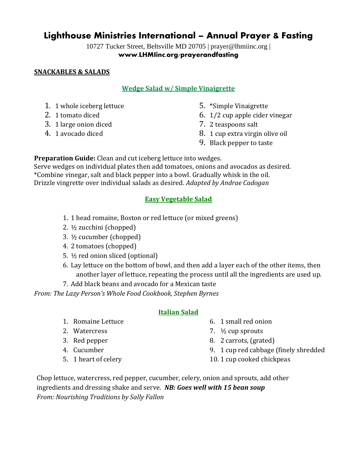10727 Tucker Street, Beltsville MD 20705 | prayer@lhmiinc.org | **www.LHMIinc.org/prayerandfasting**

### **SNACKABLES & SALADS**

### **Wedge Salad w/ Simple Vinaigrette**

- 1. 1 whole iceberg lettuce
- 2. 1 tomato diced
- 3. 1 large onion diced
- 4. 1 avocado diced
- 5. \*Simple Vinaigrette
- 6. 1/2 cup apple cider vinegar
- 7. 2 teaspoons salt
- 8. 1 cup extra virgin olive oil
- 9. Black pepper to taste

**Preparation Guide:** Clean and cut iceberg lettuce into wedges.

Serve wedges on individual plates then add tomatoes, onions and avocados as desired. \*Combine vinegar, salt and black pepper into a bowl. Gradually whisk in the oil. Drizzle vingrette over individual salads as desired. *Adapted by Andrae Cadogan*

### **Easy Vegetable Salad**

- 1. 1 head romaine, Boston or red lettuce (or mixed greens)
- 2. ½ zucchini (chopped)
- 3. ½ cucumber (chopped)
- 4. 2 tomatoes (chopped)
- 5. ½ red onion sliced (optional)
- 6. Lay lettuce on the bottom of bowl, and then add a layer each of the other items, then another layer of lettuce, repeating the process until all the ingredients are used up.
- 7. Add black beans and avocado for a Mexican taste

*From: The Lazy Person's Whole Food Cookbook, Stephen Byrnes*

### **Italian Salad**

- 1. Romaine Lettuce
- 2. Watercress
- 3. Red pepper
- 4. Cucumber
- 5. 1 heart of celery
- 6. 1 small red onion
- 7. ½ cup sprouts
- 8. 2 carrots, (grated)
- 9. 1 cup red cabbage (finely shredded
- 10. 1 cup cooked chickpeas

Chop lettuce, watercress, red pepper, cucumber, celery, onion and sprouts, add other ingredients and dressing shake and serve. *NB: Goes well with 15 bean soup From: Nourishing Traditions by Sally Fallon*